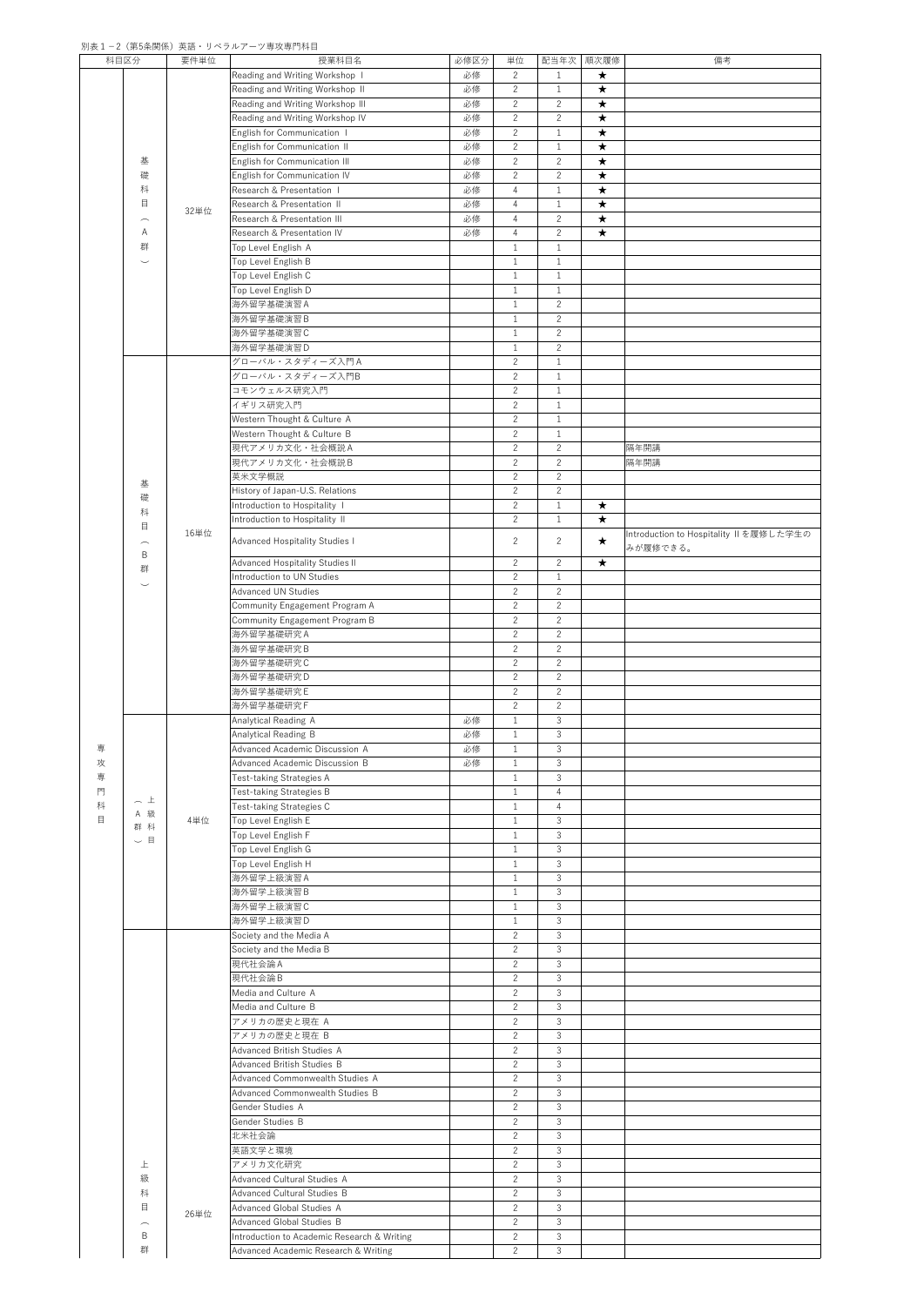## 別表1-2(第5条関係)英語・リベラルアーツ専攻専門科目

|   | 科目区分                          | 要件単位 | 授業科目名                                       | 必修区分 | 単位             | 配当年次           | 順次履修       | 備考                                      |
|---|-------------------------------|------|---------------------------------------------|------|----------------|----------------|------------|-----------------------------------------|
|   |                               |      | Reading and Writing Workshop I              | 必修   | 2              | $\mathbf{1}$   | $\star$    |                                         |
|   |                               |      | Reading and Writing Workshop II             | 必修   | 2              | $\mathbf{1}$   | $\bigstar$ |                                         |
|   |                               |      | Reading and Writing Workshop III            | 必修   | $\overline{2}$ | $\mathbf{2}$   | $\star$    |                                         |
|   |                               |      |                                             |      |                |                |            |                                         |
|   |                               |      | Reading and Writing Workshop IV             | 必修   | 2              | $\overline{2}$ | $\bigstar$ |                                         |
|   |                               |      | English for Communication                   | 必修   | $\overline{2}$ | $\mathbf{1}$   | $\star$    |                                         |
|   |                               |      | English for Communication II                | 必修   | 2              | $\mathbf{1}$   | $\star$    |                                         |
|   | 基                             |      | English for Communication III               | 必修   | 2              | $\mathbf{2}$   | $\star$    |                                         |
|   | 礎                             |      | English for Communication IV                | 必修   | 2              | $2^{\circ}$    | $\bigstar$ |                                         |
|   |                               |      |                                             |      |                |                |            |                                         |
|   | 科                             |      | Research & Presentation I                   | 必修   | $\overline{4}$ | $\mathbf{1}$   | $\star$    |                                         |
|   | 目                             | 32単位 | Research & Presentation II                  | 必修   | $\overline{4}$ | $\mathbf{1}$   | $\star$    |                                         |
|   | $\frown$                      |      | Research & Presentation III                 | 必修   | $\overline{4}$ | $\mathbf{2}$   | $\star$    |                                         |
|   | A                             |      | Research & Presentation IV                  | 必修   | $\overline{4}$ | $\overline{2}$ | $\star$    |                                         |
|   |                               |      |                                             |      |                |                |            |                                         |
|   | 群                             |      | Top Level English A                         |      | $\mathbf{1}$   | $\mathbf{1}$   |            |                                         |
|   | $\smile$                      |      | Top Level English B                         |      | $\mathbf{1}$   | $\mathbf{1}$   |            |                                         |
|   |                               |      | Top Level English C                         |      | $\mathbf{1}$   | $\mathbf{1}$   |            |                                         |
|   |                               |      | Top Level English D                         |      | $\mathbf{1}$   | $\mathbf{1}$   |            |                                         |
|   |                               |      | 海外留学基礎演習A                                   |      | $\mathbf{1}$   | $\mathbf{2}$   |            |                                         |
|   |                               |      |                                             |      |                |                |            |                                         |
|   |                               |      | 海外留学基礎演習B                                   |      | $\mathbf{1}$   | $\mathbf{2}$   |            |                                         |
|   |                               |      | 海外留学基礎演習C                                   |      | $\mathbf{1}$   | $\overline{2}$ |            |                                         |
|   |                               |      | 海外留学基礎演習D                                   |      | $\mathbf{1}$   | $\mathbf{2}$   |            |                                         |
|   |                               |      | グローバル・スタディーズ入門A                             |      | $\overline{2}$ | $\mathbf{1}$   |            |                                         |
|   |                               |      |                                             |      |                |                |            |                                         |
|   |                               |      | グローバル・スタディーズ入門B                             |      | $\overline{2}$ | $\mathbf{1}$   |            |                                         |
|   |                               |      | コモンウェルス研究入門                                 |      | $\overline{2}$ | $\mathbf{1}$   |            |                                         |
|   |                               |      | イギリス研究入門                                    |      | $\mathbf{2}$   | $\mathbf{1}$   |            |                                         |
|   |                               |      | Western Thought & Culture A                 |      | $\overline{2}$ | $\mathbf{1}$   |            |                                         |
|   |                               |      | Western Thought & Culture B                 |      | $\overline{2}$ | $\mathbf{1}$   |            |                                         |
|   |                               |      |                                             |      |                |                |            |                                         |
|   |                               |      | 現代アメリカ文化·社会概説A                              |      | $\overline{2}$ | $\overline{2}$ |            | 隔年開講                                    |
|   |                               |      | 現代アメリカ文化·社会概説B                              |      | $\overline{2}$ | $\overline{2}$ |            | 隔年開講                                    |
|   |                               |      | 英米文学概説                                      |      | $\overline{2}$ | $\overline{2}$ |            |                                         |
|   | 基                             |      | History of Japan-U.S. Relations             |      | $\overline{2}$ | $\mathbf{2}$   |            |                                         |
|   | 礎                             |      |                                             |      |                |                |            |                                         |
|   | 科                             |      | Introduction to Hospitality I               |      | $\overline{2}$ | $\mathbf{1}$   | $\star$    |                                         |
|   | 目                             |      | Introduction to Hospitality II              |      | $\overline{2}$ | $\mathbf{1}$   | $\star$    |                                         |
|   |                               | 16単位 |                                             |      |                |                |            | Introduction to Hospitality II を履修した学生の |
|   | $\frown$                      |      | Advanced Hospitality Studies I              |      | $\overline{2}$ | $\mathbf{2}$   | $\star$    | みが履修できる。                                |
|   | B                             |      | Advanced Hospitality Studies II             |      | $\overline{2}$ | $2^{\circ}$    | $\star$    |                                         |
|   | 群                             |      |                                             |      |                |                |            |                                         |
|   | $\smile$                      |      | Introduction to UN Studies                  |      | $\overline{2}$ | $\mathbf{1}$   |            |                                         |
|   |                               |      | <b>Advanced UN Studies</b>                  |      | $\overline{2}$ | $\overline{2}$ |            |                                         |
|   |                               |      | Community Engagement Program A              |      | 2              | $\overline{2}$ |            |                                         |
|   |                               |      | Community Engagement Program B              |      | $\overline{2}$ | $\overline{2}$ |            |                                         |
|   |                               |      |                                             |      |                |                |            |                                         |
|   |                               |      | 海外留学基礎研究A                                   |      | $\overline{2}$ | $\overline{2}$ |            |                                         |
|   |                               |      | 海外留学基礎研究B                                   |      | $\overline{2}$ | $\overline{2}$ |            |                                         |
|   |                               |      | 海外留学基礎研究C                                   |      | 2              | $\overline{2}$ |            |                                         |
|   |                               |      | 海外留学基礎研究D                                   |      | $\overline{2}$ | $\overline{2}$ |            |                                         |
|   |                               |      | 海外留学基礎研究E                                   |      | 2              | $\overline{2}$ |            |                                         |
|   |                               |      |                                             |      |                |                |            |                                         |
|   |                               |      | 海外留学基礎研究F                                   |      | $\overline{2}$ | $\overline{2}$ |            |                                         |
|   |                               |      | Analytical Reading A                        | 必修   | $\mathbf{1}$   | 3              |            |                                         |
|   |                               |      | Analytical Reading B                        | 必修   | $\mathbf{1}$   | $\mathfrak{Z}$ |            |                                         |
| 専 |                               |      | Advanced Academic Discussion A              | 必修   | $\mathbf{1}$   | $\mathfrak{Z}$ |            |                                         |
| 功 |                               |      |                                             | 必修   | $\mathbf{1}$   | $\mathfrak{Z}$ |            |                                         |
|   |                               |      | Advanced Academic Discussion B              |      |                |                |            |                                         |
| 専 |                               |      | Test-taking Strategies A                    |      | $\mathbf{1}$   | $\mathfrak{Z}$ |            |                                         |
| 門 |                               |      | Test-taking Strategies B                    |      | $\mathbf{1}$   | $\overline{4}$ |            |                                         |
| 科 | へ上                            |      | Test-taking Strategies C                    |      | $\mathbf{1}$   | $\overline{4}$ |            |                                         |
| 目 | A 級                           | 4単位  | Top Level English E                         |      | $\mathbf{1}$   | $\mathfrak{Z}$ |            |                                         |
|   | 群 科                           |      |                                             |      |                |                |            |                                         |
|   | 目<br>$\overline{\phantom{0}}$ |      | Top Level English F                         |      | $\mathbf{1}$   | $\mathfrak{Z}$ |            |                                         |
|   |                               |      | Top Level English G                         |      | $\mathbf{1}$   | $\mathfrak{Z}$ |            |                                         |
|   |                               |      | Top Level English H                         |      | $\mathbf{1}$   | $\mathfrak{Z}$ |            |                                         |
|   |                               |      | 海外留学上級演習A                                   |      | $\mathbf{1}$   | $\mathfrak{Z}$ |            |                                         |
|   |                               |      | 海外留学上級演習B                                   |      | $\mathbf{1}$   | $\mathfrak{Z}$ |            |                                         |
|   |                               |      |                                             |      |                |                |            |                                         |
|   |                               |      | 海外留学上級演習C                                   |      | $\mathbf{1}$   | $\mathfrak{Z}$ |            |                                         |
|   |                               |      | 海外留学上級演習D                                   |      | $\mathbf{1}$   | $\mathfrak{Z}$ |            |                                         |
|   |                               |      | Society and the Media A                     |      | $\overline{2}$ | $\mathfrak{Z}$ |            |                                         |
|   |                               |      | Society and the Media B                     |      | 2              | 3              |            |                                         |
|   |                               |      |                                             |      |                |                |            |                                         |
|   |                               |      | 現代社会論A                                      |      | $\overline{2}$ | $\mathfrak{Z}$ |            |                                         |
|   |                               |      | 現代社会論B                                      |      | $\overline{2}$ | $\mathfrak{Z}$ |            |                                         |
|   |                               |      | Media and Culture A                         |      | $\overline{2}$ | $\mathfrak{Z}$ |            |                                         |
|   |                               |      | Media and Culture B                         |      | 2              | $\mathfrak{Z}$ |            |                                         |
|   |                               |      | アメリカの歴史と現在 A                                |      | 2              | $\mathfrak{S}$ |            |                                         |
|   |                               |      |                                             |      |                |                |            |                                         |
|   |                               |      | アメリカの歴史と現在 B                                |      | 2              | $\mathbf{3}$   |            |                                         |
|   |                               |      | Advanced British Studies A                  |      | $\mathbf{2}$   | $\mathfrak{Z}$ |            |                                         |
|   |                               |      | Advanced British Studies B                  |      | $\overline{2}$ | $\mathfrak{Z}$ |            |                                         |
|   |                               |      | Advanced Commonwealth Studies A             |      | $\mathbf{2}$   | 3              |            |                                         |
|   |                               |      |                                             |      | $\overline{2}$ | $\mathfrak{Z}$ |            |                                         |
|   |                               |      | Advanced Commonwealth Studies B             |      |                |                |            |                                         |
|   |                               |      | Gender Studies A                            |      | $\overline{2}$ | $\mathfrak{Z}$ |            |                                         |
|   |                               |      | Gender Studies B                            |      | $\mathbf{2}$   | $\mathbf{3}$   |            |                                         |
|   |                               |      | 北米社会論                                       |      | $\overline{2}$ | 3              |            |                                         |
|   |                               |      | 英語文学と環境                                     |      | $\overline{2}$ | $\mathfrak{Z}$ |            |                                         |
|   |                               |      |                                             |      |                |                |            |                                         |
|   | 上                             |      | アメリカ文化研究                                    |      | 2              | $\mathfrak{Z}$ |            |                                         |
|   | 級                             |      | Advanced Cultural Studies A                 |      | $\mathbf{2}$   | $\mathfrak{Z}$ |            |                                         |
|   | 科                             |      | Advanced Cultural Studies B                 |      | $\overline{2}$ | $\mathfrak{Z}$ |            |                                         |
|   | 目                             |      | Advanced Global Studies A                   |      | $\overline{2}$ | $\mathfrak{Z}$ |            |                                         |
|   |                               | 26単位 | <b>Advanced Global Studies B</b>            |      | $\overline{2}$ | $\mathfrak{Z}$ |            |                                         |
|   | $\frown$                      |      |                                             |      |                |                |            |                                         |
|   | B                             |      | Introduction to Academic Research & Writing |      | $\overline{2}$ | $\mathfrak{Z}$ |            |                                         |
|   | 群                             |      | Advanced Academic Research & Writing        |      | 2              | $\mathfrak{Z}$ |            |                                         |